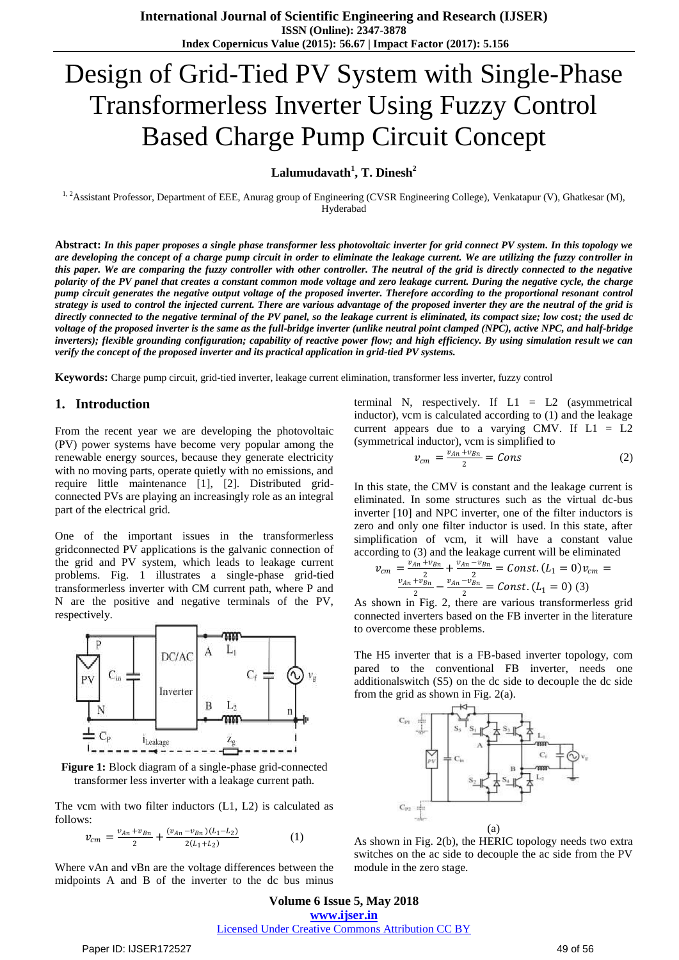# Design of Grid-Tied PV System with Single-Phase Transformerless Inverter Using Fuzzy Control Based Charge Pump Circuit Concept

**Lalumudavath<sup>1</sup> , T. Dinesh<sup>2</sup>**

<sup>1, 2</sup>Assistant Professor, Department of EEE, Anurag group of Engineering (CVSR Engineering College), Venkatapur (V), Ghatkesar (M), Hyderabad

**Abstract:** *In this paper proposes a single phase transformer less photovoltaic inverter for grid connect PV system. In this topology we are developing the concept of a charge pump circuit in order to eliminate the leakage current. We are utilizing the fuzzy controller in this paper. We are comparing the fuzzy controller with other controller. The neutral of the grid is directly connected to the negative polarity of the PV panel that creates a constant common mode voltage and zero leakage current. During the negative cycle, the charge pump circuit generates the negative output voltage of the proposed inverter. Therefore according to the proportional resonant control strategy is used to control the injected current. There are various advantage of the proposed inverter they are the neutral of the grid is directly connected to the negative terminal of the PV panel, so the leakage current is eliminated, its compact size; low cost; the used dc voltage of the proposed inverter is the same as the full-bridge inverter (unlike neutral point clamped (NPC), active NPC, and half-bridge inverters); flexible grounding configuration; capability of reactive power flow; and high efficiency. By using simulation result we can verify the concept of the proposed inverter and its practical application in grid-tied PV systems.*

**Keywords:** Charge pump circuit, grid-tied inverter, leakage current elimination, transformer less inverter, fuzzy control

#### **1. Introduction**

From the recent year we are developing the photovoltaic (PV) power systems have become very popular among the renewable energy sources, because they generate electricity with no moving parts, operate quietly with no emissions, and require little maintenance [1], [2]. Distributed gridconnected PVs are playing an increasingly role as an integral part of the electrical grid.

One of the important issues in the transformerless gridconnected PV applications is the galvanic connection of the grid and PV system, which leads to leakage current problems. Fig. 1 illustrates a single-phase grid-tied transformerless inverter with CM current path, where P and N are the positive and negative terminals of the PV, respectively.



**Figure 1:** Block diagram of a single-phase grid-connected transformer less inverter with a leakage current path.

The vcm with two filter inductors (L1, L2) is calculated as follows:

$$
v_{cm} = \frac{v_{An} + v_{Bn}}{2} + \frac{(v_{An} - v_{Bn})(L_1 - L_2)}{2(L_1 + L_2)}
$$
(1)

Where vAn and vBn are the voltage differences between the midpoints A and B of the inverter to the dc bus minus

terminal N, respectively. If  $L1 = L2$  (asymmetrical inductor), vcm is calculated according to (1) and the leakage current appears due to a varying CMV. If  $L1 = L2$ (symmetrical inductor), vcm is simplified to

$$
v_{cm} = \frac{v_{An} + v_{Bn}}{2} = Cons \tag{2}
$$

In this state, the CMV is constant and the leakage current is eliminated. In some structures such as the virtual dc-bus inverter [10] and NPC inverter, one of the filter inductors is zero and only one filter inductor is used. In this state, after simplification of vcm, it will have a constant value according to (3) and the leakage current will be eliminated

$$
v_{cm} = \frac{v_{An} + v_{Bn}}{2} + \frac{v_{An} - v_{Bn}}{2} = Const. (L_1 = 0)v_{cm} = \frac{v_{An} + v_{Bn}}{2} - \frac{v_{An} - v_{Bn}}{2} = const. (L_1 = 0)
$$
 (3)

As shown in Fig. 2, there are various transformerless grid connected inverters based on the FB inverter in the literature to overcome these problems.

The H5 inverter that is a FB-based inverter topology, com pared to the conventional FB inverter, needs one additionalswitch (S5) on the dc side to decouple the dc side from the grid as shown in Fig. 2(a).



As shown in Fig. 2(b), the HERIC topology needs two extra switches on the ac side to decouple the ac side from the PV module in the zero stage.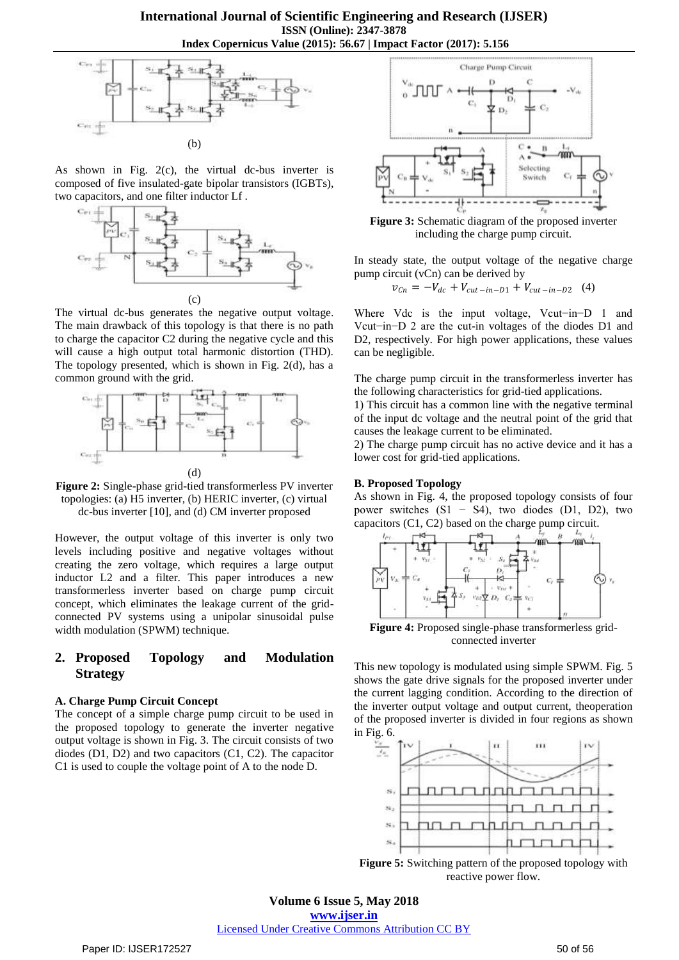

As shown in Fig. 2(c), the virtual dc-bus inverter is composed of five insulated-gate bipolar transistors (IGBTs), two capacitors, and one filter inductor Lf .



The virtual dc-bus generates the negative output voltage. The main drawback of this topology is that there is no path to charge the capacitor C2 during the negative cycle and this will cause a high output total harmonic distortion (THD). The topology presented, which is shown in Fig. 2(d), has a common ground with the grid.





However, the output voltage of this inverter is only two levels including positive and negative voltages without creating the zero voltage, which requires a large output inductor L2 and a filter. This paper introduces a new transformerless inverter based on charge pump circuit concept, which eliminates the leakage current of the gridconnected PV systems using a unipolar sinusoidal pulse width modulation (SPWM) technique.

## **2. Proposed Topology and Modulation Strategy**

#### **A. Charge Pump Circuit Concept**

The concept of a simple charge pump circuit to be used in the proposed topology to generate the inverter negative output voltage is shown in Fig. 3. The circuit consists of two diodes (D1, D2) and two capacitors (C1, C2). The capacitor C1 is used to couple the voltage point of A to the node D.



**Figure 3:** Schematic diagram of the proposed inverter including the charge pump circuit.

In steady state, the output voltage of the negative charge pump circuit (vCn) can be derived by

$$
v_{Cn} = -V_{dc} + V_{cut-in-D1} + V_{cut-in-D2} \quad (4)
$$

Where Vdc is the input voltage, Vcut−in−D 1 and Vcut−in−D 2 are the cut-in voltages of the diodes D1 and D2, respectively. For high power applications, these values can be negligible.

The charge pump circuit in the transformerless inverter has the following characteristics for grid-tied applications.

1) This circuit has a common line with the negative terminal of the input dc voltage and the neutral point of the grid that causes the leakage current to be eliminated.

2) The charge pump circuit has no active device and it has a lower cost for grid-tied applications.

#### **B. Proposed Topology**

As shown in Fig. 4, the proposed topology consists of four power switches (S1 − S4), two diodes (D1, D2), two capacitors (C1, C2) based on the charge pump circuit.



connected inverter

This new topology is modulated using simple SPWM. Fig. 5 shows the gate drive signals for the proposed inverter under the current lagging condition. According to the direction of the inverter output voltage and output current, theoperation of the proposed inverter is divided in four regions as shown in Fig. 6.



**Figure 5:** Switching pattern of the proposed topology with reactive power flow.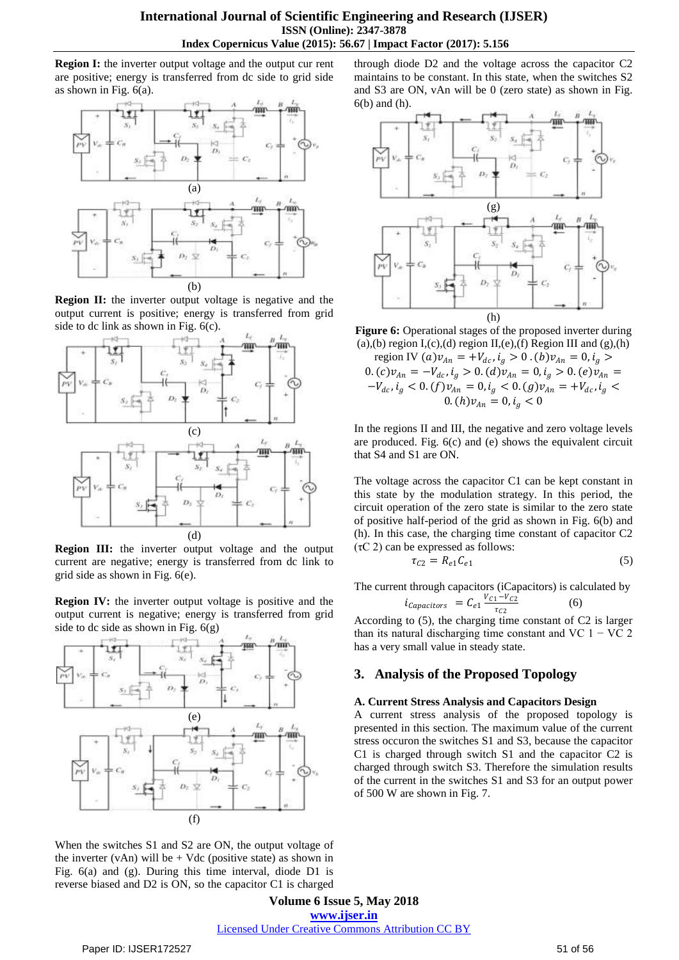**Region I:** the inverter output voltage and the output cur rent are positive; energy is transferred from dc side to grid side as shown in Fig. 6(a).



**Region II:** the inverter output voltage is negative and the output current is positive; energy is transferred from grid side to dc link as shown in Fig. 6(c).



**Region III:** the inverter output voltage and the output current are negative; energy is transferred from dc link to grid side as shown in Fig. 6(e).

**Region IV:** the inverter output voltage is positive and the output current is negative; energy is transferred from grid side to dc side as shown in Fig. 6(g)



When the switches S1 and S2 are ON, the output voltage of the inverter (vAn) will be  $+$  Vdc (positive state) as shown in Fig. 6(a) and (g). During this time interval, diode D1 is reverse biased and D2 is ON, so the capacitor C1 is charged

through diode D2 and the voltage across the capacitor C2 maintains to be constant. In this state, when the switches S2 and S3 are ON, vAn will be 0 (zero state) as shown in Fig. 6(b) and (h).



**Figure 6:** Operational stages of the proposed inverter during (a),(b) region I,(c),(d) region II,(e),(f) Region III and  $(g)$ ,(h)

region IV  $(a)v_{An}$  = + $V_{dc}$ ,  $i_g > 0$ .  $(b)v_{An} = 0$ ,  $i_g >$  $0. (c) v_{An} = -V_{dc}, i_g > 0. (d) v_{An} = 0, i_g > 0. (e) v_{An} = 0$  $-V_{dc}$ ,  $i_g < 0$ .  $(f) v_{An} = 0$ ,  $i_g < 0$ .  $(g) v_{An} = +V_{dc}$ ,  $i_g <$  $(0. (h) v_{An} = 0, i_g < 0$ 

In the regions II and III, the negative and zero voltage levels are produced. Fig. 6(c) and (e) shows the equivalent circuit that S4 and S1 are ON.

The voltage across the capacitor C1 can be kept constant in this state by the modulation strategy. In this period, the circuit operation of the zero state is similar to the zero state of positive half-period of the grid as shown in Fig. 6(b) and (h). In this case, the charging time constant of capacitor C2  $(\tau C 2)$  can be expressed as follows:

$$
\tau_{C2} = R_{e1} C_{e1} \tag{5}
$$

The current through capacitors (iCapacitors) is calculated by

$$
i_{Capacitors} = C_{e1} \frac{V_{C1} - V_{C2}}{\tau_{C2}} \tag{6}
$$

According to (5), the charging time constant of C2 is larger than its natural discharging time constant and VC  $1 - VC$  2 has a very small value in steady state.

### **3. Analysis of the Proposed Topology**

#### **A. Current Stress Analysis and Capacitors Design**

A current stress analysis of the proposed topology is presented in this section. The maximum value of the current stress occuron the switches S1 and S3, because the capacitor C1 is charged through switch S1 and the capacitor C2 is charged through switch S3. Therefore the simulation results of the current in the switches S1 and S3 for an output power of 500 W are shown in Fig. 7.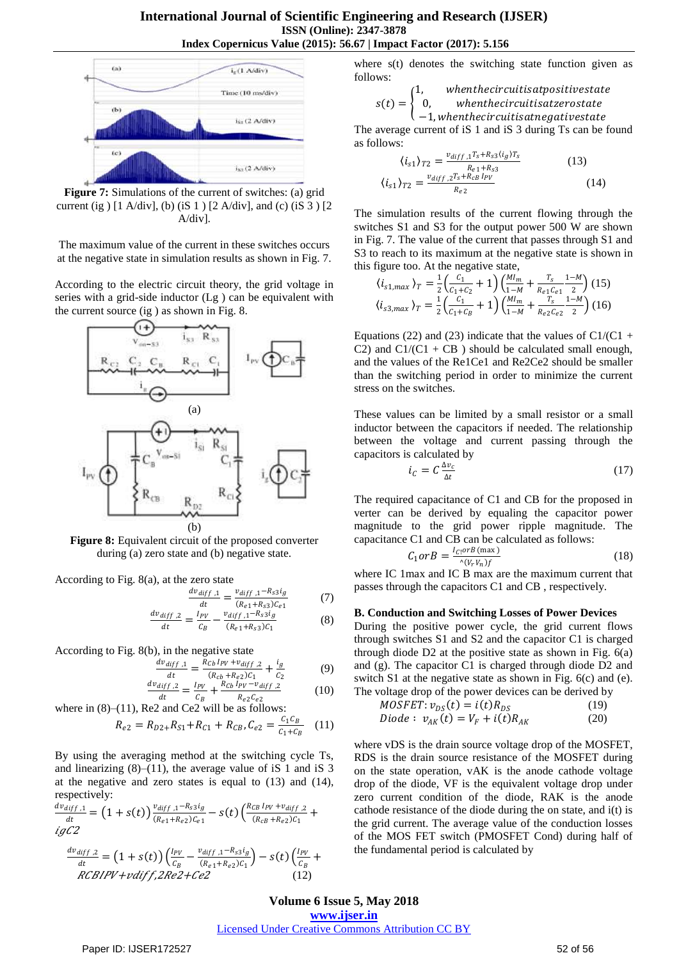

**Figure 7:** Simulations of the current of switches: (a) grid current (ig )  $[1 \text{ A}/\text{div}]$ , (b) (iS 1 )  $[2 \text{ A}/\text{div}]$ , and (c) (iS 3 )  $[2 \text{ A}/\text{div}]$ A/div].

The maximum value of the current in these switches occurs at the negative state in simulation results as shown in Fig. 7.

According to the electric circuit theory, the grid voltage in series with a grid-side inductor (Lg ) can be equivalent with the current source (ig ) as shown in Fig. 8.



**Figure 8:** Equivalent circuit of the proposed converter during (a) zero state and (b) negative state.

According to Fig. 8(a), at the zero state

$$
\frac{dv_{diff,1}}{dt} = \frac{v_{diff,1} - R_{s3}i_g}{(R_{e1} + R_{s3})C_{e1}} \tag{7}
$$

$$
\frac{dv_{diff,2}}{dt} = \frac{I_{PV}}{C_B} - \frac{v_{diff,1} - R_{s3}i_g}{(R_{e1} + R_{s3})C_1}
$$
(8)

According to Fig. 8(b), in the negative state

$$
\frac{dv_{diff,1}}{dt} = \frac{R_{Cb}I_{PV} + v_{diff,2}}{(R_{cb} + R_{e2})C_1} + \frac{i_g}{C_2}
$$
(9)  

$$
v_{diff,2} = I_{PV} + \frac{R_{cb}I_{PV} - v_{diff,2}}{C_2}
$$
(10)

$$
\frac{dv_{diff,2}}{dt} = \frac{I_{PV}}{C_B} + \frac{R_{Cb}I_{PV} - v_{diff,2}}{R_{e2}C_{e2}}
$$
 (10)  
where in (8)–(11), Re2 and Ce2 will be as follows:

$$
R_{e2} = R_{D2+}R_{S1} + R_{C1} + R_{CB}, C_{e2} = \frac{c_1 c_B}{c_1 + c_B} \quad (11)
$$

By using the averaging method at the switching cycle Ts, and linearizing  $(8)$ – $(11)$ , the average value of iS 1 and iS 3 at the negative and zero states is equal to (13) and (14), respectively:

$$
\frac{dv_{diff,1}}{dt} = (1 + s(t)) \frac{v_{diff,1} - R_{s3}i_g}{(R_{e1} + R_{e2})C_{e1}} - s(t) \left( \frac{R_{CB}1_{PV} + v_{diff,2}}{(R_{CB} + R_{e2})C_{1}} + i g C2 \right)
$$

$$
\frac{dv_{diff,2}}{dt} = (1 + s(t)) \left( \frac{I_{PV}}{C_B} - \frac{v_{diff,1} - R_{s3}i_g}{(R_{e1} + R_{e2})C_{1}} \right) - s(t) \left( \frac{I_{PV}}{C_B} + RCBIPV + vdiff, 2Re2 + Ce2 \right) \tag{12}
$$

where s(t) denotes the switching state function given as follows:

$$
s(t) = \begin{cases} 1, & when their curitis at positive state \\ 0, & when their curitis at zero state \\ -1, when their curitis at negative state \end{cases}
$$

The average current of iS 1 and iS 3 during Ts can be found as follows:

$$
\langle i_{s1} \rangle_{T2} = \frac{v_{diff,1} T_s + R_{s3} \langle i_g \rangle T_s}{R_{e1} + R_{s3}}
$$
\n
$$
\langle i_{s1} \rangle_{T2} = \frac{v_{diff,2} T_s + R_{cB} I_{PV}}{R_{e2}}
$$
\n(14)

The simulation results of the current flowing through the switches S1 and S3 for the output power 500 W are shown in Fig. 7. The value of the current that passes through S1 and S3 to reach to its maximum at the negative state is shown in this figure too. At the negative state,

$$
\langle i_{s1,max} \rangle_T = \frac{1}{2} \left( \frac{c_1}{c_1 + c_2} + 1 \right) \left( \frac{M l_m}{1 - M} + \frac{T_s}{R_{e1} c_{e1}} \frac{1 - M}{2} \right) (15)
$$
  

$$
\langle i_{s3,max} \rangle_T = \frac{1}{2} \left( \frac{c_1}{c_1 + c_B} + 1 \right) \left( \frac{M l_m}{1 - M} + \frac{T_s}{R_{e2} c_{e2}} \frac{1 - M}{2} \right) (16)
$$

Equations (22) and (23) indicate that the values of  $C1/(C1 +$ C2) and  $Cl/(Cl + CB)$  should be calculated small enough, and the values of the Re1Ce1 and Re2Ce2 should be smaller than the switching period in order to minimize the current stress on the switches.

These values can be limited by a small resistor or a small inductor between the capacitors if needed. The relationship between the voltage and current passing through the capacitors is calculated by

$$
i_C = C \frac{\Delta v_c}{\Delta t} \tag{17}
$$

The required capacitance of C1 and CB for the proposed in verter can be derived by equaling the capacitor power magnitude to the grid power ripple magnitude. The capacitance C1 and CB can be calculated as follows:

$$
C_1 \text{or} B = \frac{I_{\text{Cl}} \text{or} B \text{ (max)}}{\sqrt{(V_r V_n)f}}
$$
(18)

where IC 1max and IC B max are the maximum current that passes through the capacitors C1 and CB , respectively.

#### **B. Conduction and Switching Losses of Power Devices**

During the positive power cycle, the grid current flows through switches S1 and S2 and the capacitor C1 is charged through diode  $D2$  at the positive state as shown in Fig.  $6(a)$ and (g). The capacitor C1 is charged through diode D2 and switch S1 at the negative state as shown in Fig.  $6(c)$  and (e). The voltage drop of the power devices can be derived by

$$
MOSFET: v_{DS}(t) = i(t)R_{DS}
$$
\n(19)  
\nDiode:  $v_{av}(t) = V_a + i(t)R_{av}$  (20)

$$
Diode: v_{AK}(t) = V_F + i(t)R_{AK}
$$
 (20)

where vDS is the drain source voltage drop of the MOSFET, RDS is the drain source resistance of the MOSFET during on the state operation, vAK is the anode cathode voltage drop of the diode, VF is the equivalent voltage drop under zero current condition of the diode, RAK is the anode cathode resistance of the diode during the on state, and i(t) is the grid current. The average value of the conduction losses of the MOS FET switch (PMOSFET Cond) during half of the fundamental period is calculated by

# **Volume 6 Issue 5, May 2018 <www.ijser.in>**

# [Licensed Under Creative Commons Attribution CC BY](http://creativecommons.org/licenses/by/4.0/)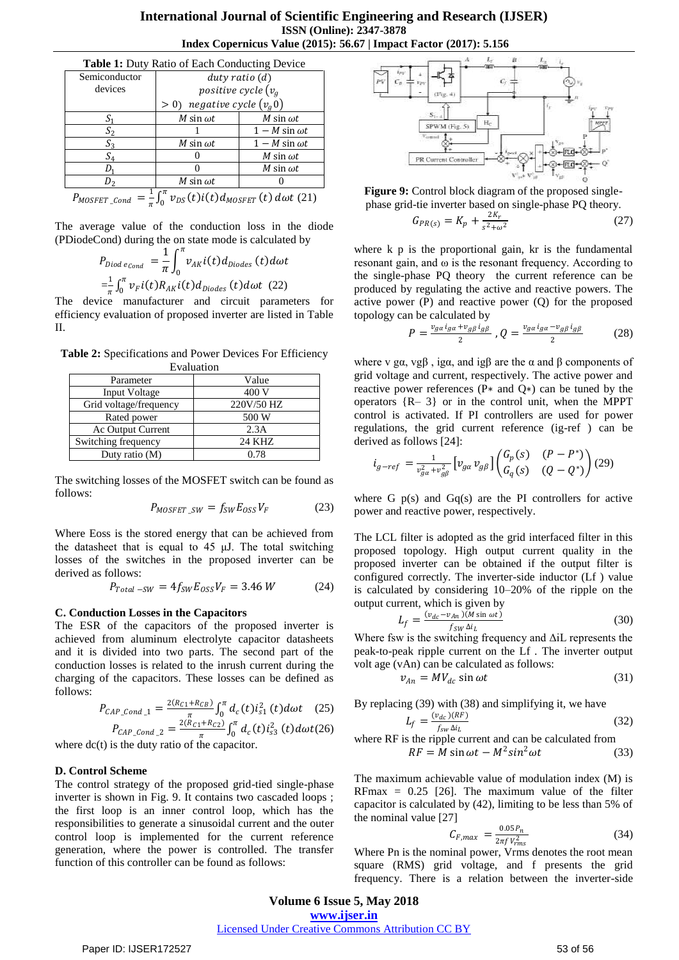| <b>Table 1:</b> Duty Ratio of Each Conducting Device                                                   |                                 |                       |  |  |
|--------------------------------------------------------------------------------------------------------|---------------------------------|-----------------------|--|--|
| Semiconductor                                                                                          | $duty$ ratio $(d)$              |                       |  |  |
| devices                                                                                                | positive cycle $(v_q)$          |                       |  |  |
|                                                                                                        | negative cycle $(v_q 0)$<br>> 0 |                       |  |  |
| $S_1$                                                                                                  | M sin $\omega t$                | M sin $\omega t$      |  |  |
| $S_2$                                                                                                  |                                 | $1 - M \sin \omega t$ |  |  |
| $S_3$                                                                                                  | M sin $\omega t$                | $1 - M \sin \omega t$ |  |  |
| $S_4$                                                                                                  |                                 | M sin $\omega t$      |  |  |
| D.                                                                                                     |                                 | M sin $\omega t$      |  |  |
| $D_{2}$                                                                                                | M sin $\omega t$                |                       |  |  |
| $\overline{P}_{MOSFET\_Cond} = \frac{1}{\pi} \int_0^{\pi} v_{DS}(t) i(t) d_{MOSFET}(t) d\omega t$ (21) |                                 |                       |  |  |

The average value of the conduction loss in the diode (PDiodeCond) during the on state mode is calculated by

 $P_{Diod\ e_{Cond}}=\frac{1}{\pi}$  $\frac{1}{\pi}\int_0 v_{AK} i(t) d_{Diodes} (t) d\omega t$  $\pi$ 0  $=$  $\frac{1}{1}$  $\frac{1}{\pi}\int_0^\pi v_F i(t) R_{AK} i(t) d_{Diodes}\left(t\right) d\omega t$  $\int_0^n v_F i(t) R_{AK} i(t) d_{Diodes} (t) d\omega t$  (22)

The device manufacturer and circuit parameters for efficiency evaluation of proposed inverter are listed in Table II.

| Evaluation               |            |  |  |  |
|--------------------------|------------|--|--|--|
| Parameter                | Value      |  |  |  |
| <b>Input Voltage</b>     | 400 V      |  |  |  |
| Grid voltage/frequency   | 220V/50 HZ |  |  |  |
| Rated power              | 500 W      |  |  |  |
| <b>Ac Output Current</b> | 2.3A       |  |  |  |
| Switching frequency      | 24 KHZ     |  |  |  |
| Duty ratio (M)           | 0.78       |  |  |  |

The switching losses of the MOSFET switch can be found as follows:

$$
P_{MOSFET\_SW} = f_{SW} E_{OSS} V_F \tag{23}
$$

Where Eoss is the stored energy that can be achieved from the datasheet that is equal to 45 μJ. The total switching losses of the switches in the proposed inverter can be derived as follows:

$$
P_{Total-SW} = 4f_{SW}E_{OSS}V_F = 3.46 W \tag{24}
$$

#### **C. Conduction Losses in the Capacitors**

The ESR of the capacitors of the proposed inverter is achieved from aluminum electrolyte capacitor datasheets and it is divided into two parts. The second part of the conduction losses is related to the inrush current during the charging of the capacitors. These losses can be defined as follows:

$$
P_{CAP\_Cond\_1} = \frac{2(R_{C1} + R_{CB})}{\pi} \int_0^{\pi} d_c(t) i_{s1}^2(t) d\omega t \quad (25)
$$
  

$$
P = \frac{2(R_{C1} + R_{C2})}{\pi} \int_0^{\pi} d_c(t) i_{s1}^2(t) d\omega t \quad (26)
$$

$$
P_{CAP\_Cond\_2} = \frac{2(K_{C1} + K_{C2})}{\pi} \int_0^{\pi} d_c(t) i_{S3}^2(t) d\omega t
$$
 (26)  
where dc(t) is the duty ratio of the capacitor.

#### **D. Control Scheme**

The control strategy of the proposed grid-tied single-phase inverter is shown in Fig. 9. It contains two cascaded loops ; the first loop is an inner control loop, which has the responsibilities to generate a sinusoidal current and the outer control loop is implemented for the current reference generation, where the power is controlled. The transfer function of this controller can be found as follows:



**Figure 9:** Control block diagram of the proposed singlephase grid-tie inverter based on single-phase PQ theory.

$$
G_{PR(s)} = K_p + \frac{2K_r}{s^2 + \omega^2}
$$
 (27)

where k p is the proportional gain, kr is the fundamental resonant gain, and ω is the resonant frequency. According to the single-phase PQ theory the current reference can be produced by regulating the active and reactive powers. The active power (P) and reactive power (Q) for the proposed topology can be calculated by

$$
P = \frac{v_{g\alpha}i_{g\alpha} + v_{g\beta}i_{g\beta}}{2}, Q = \frac{v_{g\alpha}i_{g\alpha} - v_{g\beta}i_{g\beta}}{2}
$$
(28)

where v gα, vg $\beta$ , igα, and ig $\beta$  are the α and  $\beta$  components of grid voltage and current, respectively. The active power and reactive power references (P∗ and Q∗) can be tuned by the operators  ${R-3}$  or in the control unit, when the MPPT control is activated. If PI controllers are used for power regulations, the grid current reference (ig-ref ) can be derived as follows [24]:

$$
i_{g-ref} = \frac{1}{v_{ga}^2 + v_{g\beta}^2} \left[ v_{ga} v_{g\beta} \right] \begin{pmatrix} G_p(s) & (P - P^*) \\ G_q(s) & (Q - Q^*) \end{pmatrix} (29)
$$

where G  $p(s)$  and Gq(s) are the PI controllers for active power and reactive power, respectively.

The LCL filter is adopted as the grid interfaced filter in this proposed topology. High output current quality in the proposed inverter can be obtained if the output filter is configured correctly. The inverter-side inductor (Lf ) value is calculated by considering 10–20% of the ripple on the output current, which is given by

$$
L_f = \frac{(v_{dc} - v_{An})(M \sin \omega t)}{f_{SW} \Delta i_L}
$$
 (30)

Where fsw is the switching frequency and  $\Delta iL$  represents the peak-to-peak ripple current on the Lf . The inverter output volt age (vAn) can be calculated as follows:

$$
v_{An} = MV_{dc} \sin \omega t \tag{31}
$$

By replacing (39) with (38) and simplifying it, we have  $L_f = \frac{(v_{dc})(RF)}{f - \Lambda i}$  $\frac{d_{dc}f(\mathbf{r} \cdot \mathbf{r})}{f_{sw} \Delta i_L}$  (32)

where RF is the ripple current and can be calculated from  
\n
$$
RF = M \sin \omega t - M^2 \sin^2 \omega t
$$
 (33)

The maximum achievable value of modulation index (M) is RFmax =  $0.25$  [26]. The maximum value of the filter capacitor is calculated by (42), limiting to be less than 5% of the nominal value [27]

$$
C_{F,max} = \frac{0.05 P_n}{2\pi f V_{rms}^2}
$$
 (34)

Where Pn is the nominal power, Vrms denotes the root mean square (RMS) grid voltage, and f presents the grid frequency. There is a relation between the inverter-side

# **Volume 6 Issue 5, May 2018 <www.ijser.in>**

# [Licensed Under Creative Commons Attribution CC BY](http://creativecommons.org/licenses/by/4.0/)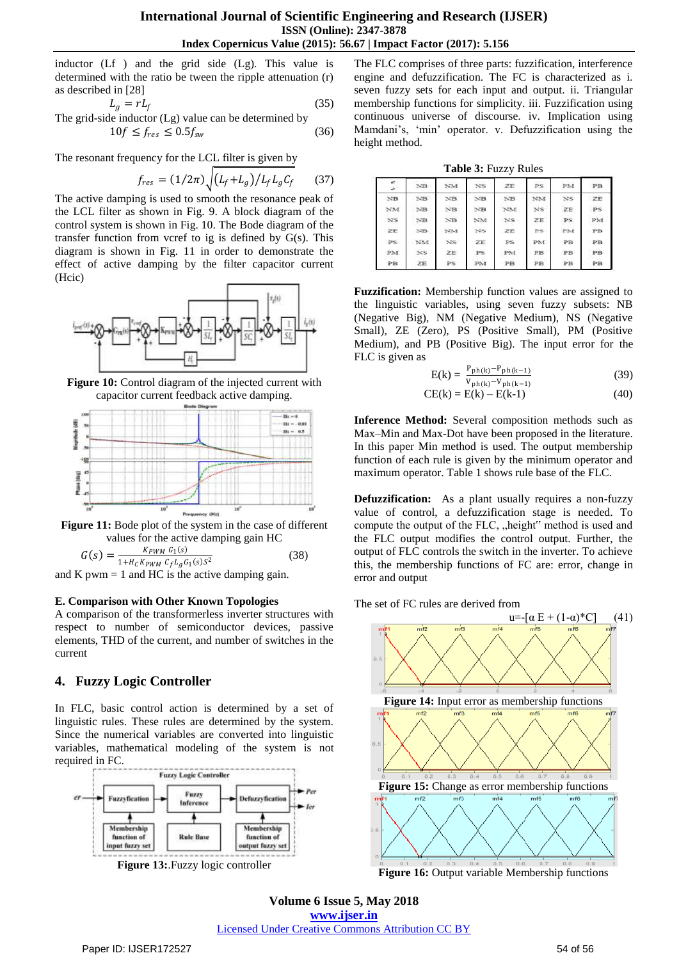inductor (Lf ) and the grid side (Lg). This value is determined with the ratio be tween the ripple attenuation (r) as described in [28]

$$
L_g = rL_f
$$
 (35)  
The grid-side inductor (Lg) value can be determined by  

$$
10f \le f_{res} \le 0.5f_{sw}
$$
 (36)

The resonant frequency for the LCL filter is given by

$$
f_{res} = (1/2\pi) \sqrt{(L_f + L_g)/L_f L_g C_f}
$$
 (37)

The active damping is used to smooth the resonance peak of the LCL filter as shown in Fig. 9. A block diagram of the control system is shown in Fig. 10. The Bode diagram of the transfer function from vcref to ig is defined by  $G(s)$ . This diagram is shown in Fig. 11 in order to demonstrate the effect of active damping by the filter capacitor current (Hcic)



**Figure 10:** Control diagram of the injected current with capacitor current feedback active damping.



**Figure 11:** Bode plot of the system in the case of different values for the active damping gain HC

$$
G(s) = \frac{K_{PWM} G_1(s)}{1 + H_C K_{PWM} C_f L_g G_1(s) S^2}
$$
(38)

and K pwm  $= 1$  and HC is the active damping gain.

#### **E. Comparison with Other Known Topologies**

A comparison of the transformerless inverter structures with respect to number of semiconductor devices, passive elements, THD of the current, and number of switches in the current

## **4. Fuzzy Logic Controller**

In FLC, basic control action is determined by a set of linguistic rules. These rules are determined by the system. Since the numerical variables are converted into linguistic variables, mathematical modeling of the system is not required in FC.



**Figure 13:**.Fuzzy logic controller

The FLC comprises of three parts: fuzzification, interference engine and defuzzification. The FC is characterized as i. seven fuzzy sets for each input and output. ii. Triangular membership functions for simplicity. iii. Fuzzification using continuous universe of discourse. iv. Implication using Mamdani's, 'min' operator. v. Defuzzification using the height method.

**Table 3:** Fuzzy Rules

| et i<br>é.      | N <sub>B</sub> | NM               | NS.            | ZE             | PS. | PM             | PB  |
|-----------------|----------------|------------------|----------------|----------------|-----|----------------|-----|
| N <sub>B</sub>  | NB             | $N$ B            | N <sub>B</sub> | N <sub>B</sub> | NM  | N <sub>S</sub> | ZE. |
| NA              | NB             | $N$ <sub>B</sub> | N <sub>B</sub> | NM             | NS: | 2E             | PS. |
| NS <sub>1</sub> | $N$ B          | NB               | NM             | NS.            | ZE  | PS.            | PM  |
| ZE              | NB.            | NM               | N'S            | ZE             | PS: | PM             | PB. |
| <b>PS</b>       | NM.            | NS.              | ZE             | PS.            | PM. | PB             | PB. |
| PM              | NS             | ZE               | <b>PS</b>      | PM.            | PB. | PB             | PB  |
| PB              | ZE             | PS.              | PM             | PB             | PB  | PB             | PB  |

**Fuzzification:** Membership function values are assigned to the linguistic variables, using seven fuzzy subsets: NB (Negative Big), NM (Negative Medium), NS (Negative Small), ZE (Zero), PS (Positive Small), PM (Positive Medium), and PB (Positive Big). The input error for the FLC is given as

$$
E(k) = \frac{P_{ph(k)} - P_{ph(k-1)}}{V_{ph(k)} - V_{ph(k-1)}}
$$
(39)

$$
CE(k) = E(k) - E(k-1)
$$
 (40)

**Inference Method:** Several composition methods such as Max–Min and Max-Dot have been proposed in the literature. In this paper Min method is used. The output membership function of each rule is given by the minimum operator and maximum operator. Table 1 shows rule base of the FLC.

**Defuzzification:** As a plant usually requires a non-fuzzy value of control, a defuzzification stage is needed. To compute the output of the FLC, "height" method is used and the FLC output modifies the control output. Further, the output of FLC controls the switch in the inverter. To achieve this, the membership functions of FC are: error, change in error and output

The set of FC rules are derived from



**Figure 16:** Output variable Membership functions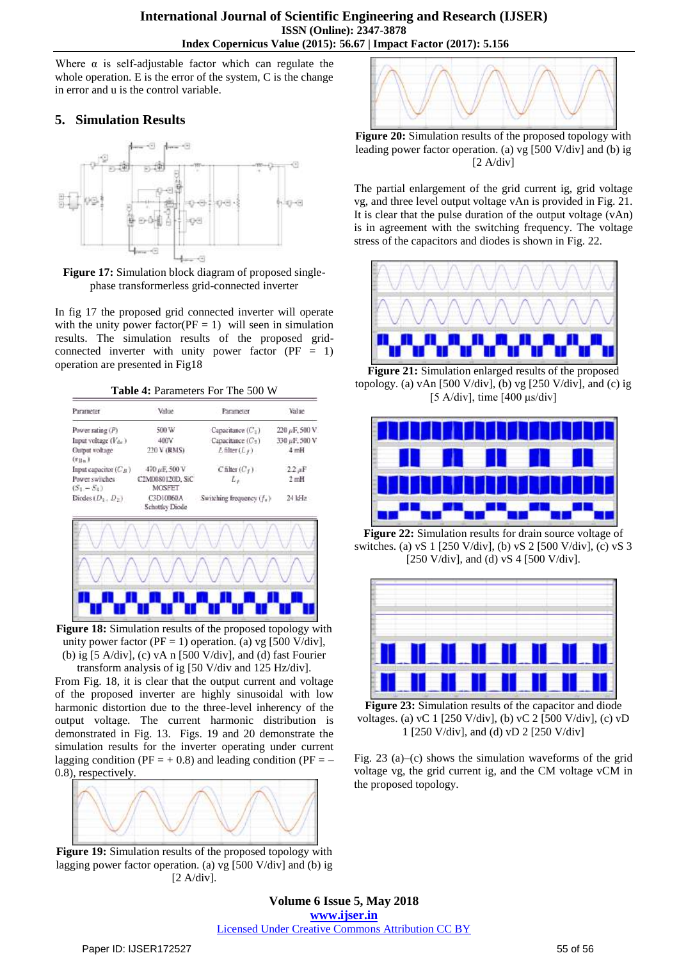Where  $\alpha$  is self-adjustable factor which can regulate the whole operation. E is the error of the system, C is the change in error and u is the control variable.

# **5. Simulation Results**



**Figure 17:** Simulation block diagram of proposed singlephase transformerless grid-connected inverter

In fig 17 the proposed grid connected inverter will operate with the unity power factor( $PF = 1$ ) will seen in simulation results. The simulation results of the proposed gridconnected inverter with unity power factor  $(PF = 1)$ operation are presented in Fig18

**Table 4:** Parameters For The 500 W

| Parameter                       | Value                       |                             | Value         |  |
|---------------------------------|-----------------------------|-----------------------------|---------------|--|
| Power rating (P)                | 500 W                       | Capacitance $(C_1)$         | 220 µF, 500 V |  |
| Input voltage $(V_{dc})$        | 400V                        | Capacitance $(C_2)$         | 330 µF, 500 V |  |
| Output voltage<br>$(v_{Bn})$    | 220 V (RMS)                 | $L$ filter $(L_f)$          | 4mH           |  |
| Input capacitor $(C_B)$         | 470 µF, 500 V               | $C$ filter $(C_f)$          | $2.2 \mu F$   |  |
| Power switches<br>$(S_1 - S_4)$ | C2M0080120D, SiC<br>MOSFET  | $L_y$                       | 2mH           |  |
| Diodes $(D_1, D_2)$             | C3D10060A<br>Schottky Diode | Switching frequency $(f_n)$ | 24 kHz        |  |
|                                 |                             |                             |               |  |
|                                 |                             |                             |               |  |

**Figure 18:** Simulation results of the proposed topology with unity power factor ( $PF = 1$ ) operation. (a) vg [500 V/div], (b) ig [5 A/div], (c) vA n [500 V/div], and (d) fast Fourier

. . . . . . . . . . .

transform analysis of ig [50 V/div and 125 Hz/div]. From Fig. 18, it is clear that the output current and voltage of the proposed inverter are highly sinusoidal with low harmonic distortion due to the three-level inherency of the output voltage. The current harmonic distribution is demonstrated in Fig. 13. Figs. 19 and 20 demonstrate the simulation results for the inverter operating under current lagging condition ( $PF = +0.8$ ) and leading condition ( $PF = -$ 0.8), respectively.



**Figure 19:** Simulation results of the proposed topology with lagging power factor operation. (a) vg [500 V/div] and (b) ig [2 A/div].



**Figure 20:** Simulation results of the proposed topology with leading power factor operation. (a) vg [500 V/div] and (b) ig  $[2 A/div]$ 

The partial enlargement of the grid current ig, grid voltage vg, and three level output voltage vAn is provided in Fig. 21. It is clear that the pulse duration of the output voltage (vAn) is in agreement with the switching frequency. The voltage stress of the capacitors and diodes is shown in Fig. 22.



**Figure 21:** Simulation enlarged results of the proposed topology. (a) vAn  $[500 \text{ V}/\text{div}]$ , (b) vg  $[250 \text{ V}/\text{div}]$ , and (c) ig [5 A/div], time [400 μs/div]



**Figure 22:** Simulation results for drain source voltage of switches. (a) vS 1 [250 V/div], (b) vS 2 [500 V/div], (c) vS 3 [250 V/div], and (d) vS 4 [500 V/div].



**Figure 23:** Simulation results of the capacitor and diode voltages. (a) vC 1 [250 V/div], (b) vC 2 [500 V/div], (c) vD 1 [250 V/div], and (d) vD 2 [250 V/div]

Fig. 23 (a)–(c) shows the simulation waveforms of the grid voltage vg, the grid current ig, and the CM voltage vCM in the proposed topology.